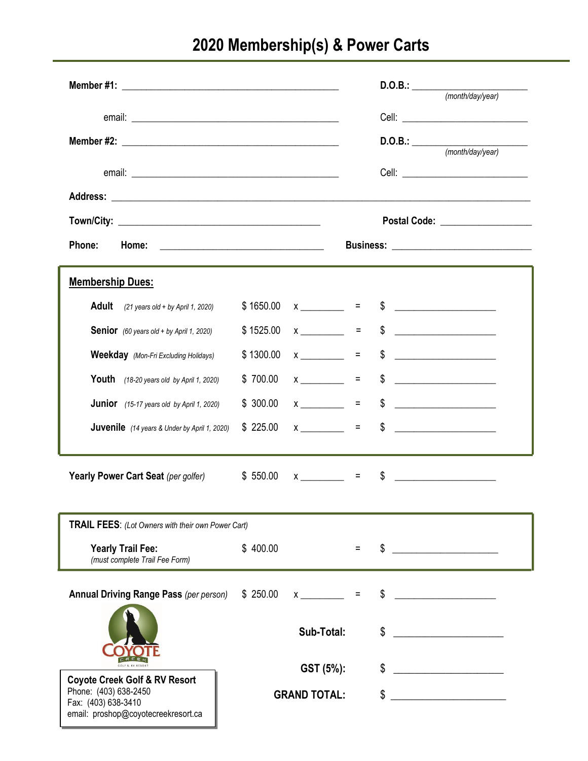## **2020 Membership(s) & Power Carts**

|                                                                                     |           |                              |                                 |               | $D.O.B.:$ (month/day/year)                                                                                            |  |
|-------------------------------------------------------------------------------------|-----------|------------------------------|---------------------------------|---------------|-----------------------------------------------------------------------------------------------------------------------|--|
|                                                                                     |           |                              |                                 |               |                                                                                                                       |  |
|                                                                                     |           |                              |                                 |               | $D.O.B.:$ (month/day/year)                                                                                            |  |
|                                                                                     |           |                              |                                 |               |                                                                                                                       |  |
|                                                                                     |           |                              |                                 |               |                                                                                                                       |  |
|                                                                                     |           |                              |                                 |               |                                                                                                                       |  |
|                                                                                     |           |                              | Postal Code: __________________ |               |                                                                                                                       |  |
| Phone:                                                                              |           |                              |                                 |               |                                                                                                                       |  |
| <b>Membership Dues:</b>                                                             |           |                              |                                 |               |                                                                                                                       |  |
| <b>Adult</b><br>$(21 \text{ years old} + \text{by April 1, 2020})$                  | \$1650.00 | $x \sim 2$                   |                                 |               | $\frac{1}{2}$                                                                                                         |  |
| <b>Senior</b> (60 years old + by April 1, 2020)                                     | \$1525.00 | $x \sim 2$                   |                                 | $\mathsf{\$}$ | <u> 1980 - Jan Barbara Barbara, politik eta politik eta politik eta politik eta politik eta politik eta politik e</u> |  |
| <b>Weekday</b> (Mon-Fri Excluding Holidays)                                         | \$1300.00 | $x \sim 1$                   |                                 | \$            | <u> 1980 - Andrea Station Barbara, politik eta provincia eta provincia eta provincia eta provincia eta provincia</u>  |  |
| Youth $(18-20 \text{ years old by April 1, } 2020)$                                 | \$700.00  | $x \sim 2$                   |                                 | \$            |                                                                                                                       |  |
| <b>Junior</b> (15-17 years old by April 1, 2020)                                    | \$300.00  | $x \sim$ =                   |                                 | $\frac{1}{2}$ | <u> 1990 - Jan Alexandria (h. 1980).</u>                                                                              |  |
| <b>Juvenile</b> (14 years & Under by April 1, 2020)                                 | \$225.00  |                              |                                 |               | $x \sim 5$                                                                                                            |  |
| Yearly Power Cart Seat (per golfer) \$550.00                                        |           | $x \overline{\phantom{a}}$ = |                                 | \$            |                                                                                                                       |  |
| TRAIL FEES: (Lot Owners with their own Power Cart)                                  |           |                              |                                 |               |                                                                                                                       |  |
| <b>Yearly Trail Fee:</b><br>(must complete Trail Fee Form)                          | \$400.00  |                              |                                 | \$            |                                                                                                                       |  |
| <b>Annual Driving Range Pass (per person)</b>                                       | \$250.00  | $\mathsf{X}$                 | $\equiv$                        | \$            |                                                                                                                       |  |
|                                                                                     |           | Sub-Total:                   |                                 | \$            |                                                                                                                       |  |
|                                                                                     |           |                              |                                 |               |                                                                                                                       |  |
| <b>Coyote Creek Golf &amp; RV Resort</b>                                            |           | GST (5%):                    |                                 |               |                                                                                                                       |  |
| Phone: (403) 638-2450<br>Fax: (403) 638-3410<br>email: proshop@coyotecreekresort.ca |           | <b>GRAND TOTAL:</b>          |                                 | \$            |                                                                                                                       |  |